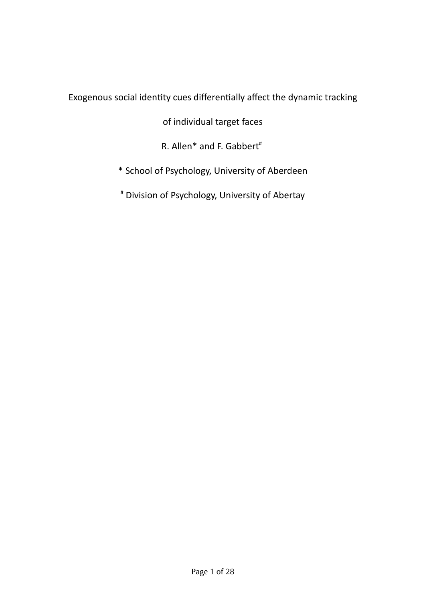# Exogenous social identity cues differentially affect the dynamic tracking

of individual target faces

R. Allen\* and F. Gabbert<sup>#</sup>

- \* School of Psychology, University of Aberdeen
- # Division of Psychology, University of Abertay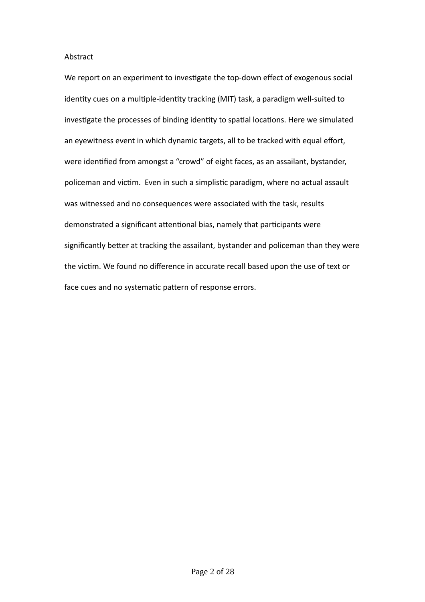# Abstract

We report on an experiment to investigate the top-down effect of exogenous social identity cues on a multiple-identity tracking (MIT) task, a paradigm well-suited to investigate the processes of binding identity to spatial locations. Here we simulated an eyewitness event in which dynamic targets, all to be tracked with equal effort, were identified from amongst a "crowd" of eight faces, as an assailant, bystander, policeman and victim. Even in such a simplistic paradigm, where no actual assault was witnessed and no consequences were associated with the task, results demonstrated a significant attentional bias, namely that participants were significantly better at tracking the assailant, bystander and policeman than they were the victim. We found no difference in accurate recall based upon the use of text or face cues and no systematic pattern of response errors.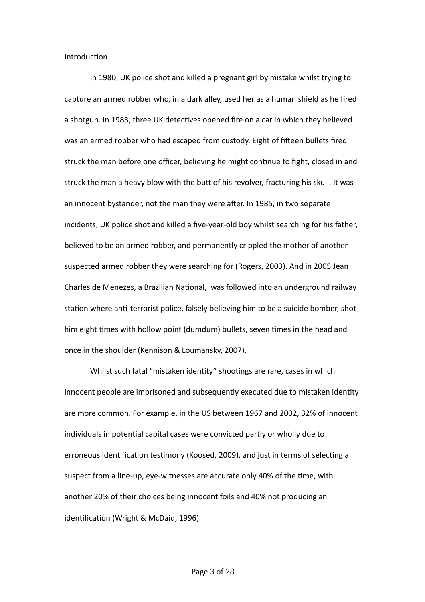Introduction

In 1980, UK police shot and killed a pregnant girl by mistake whilst trying to capture an armed robber who, in a dark alley, used her as a human shield as he fired a shotgun. In 1983, three UK detectives opened fire on a car in which they believed was an armed robber who had escaped from custody. Eight of fifteen bullets fired struck the man before one officer, believing he might continue to fight, closed in and struck the man a heavy blow with the butt of his revolver, fracturing his skull. It was an innocent bystander, not the man they were after. In 1985, in two separate incidents, UK police shot and killed a five-year-old boy whilst searching for his father, believed to be an armed robber, and permanently crippled the mother of another suspected armed robber they were searching for (Rogers, 2003). And in 2005 Jean Charles de Menezes, a Brazilian National, was followed into an underground railway station where anti-terrorist police, falsely believing him to be a suicide bomber, shot him eight times with hollow point (dumdum) bullets, seven times in the head and once in the shoulder (Kennison & Loumansky, 2007).

Whilst such fatal "mistaken identity" shootings are rare, cases in which innocent people are imprisoned and subsequently executed due to mistaken identity are more common. For example, in the US between 1967 and 2002, 32% of innocent individuals in potential capital cases were convicted partly or wholly due to erroneous identification testimony (Koosed, 2009), and just in terms of selecting a suspect from a line-up, eye-witnesses are accurate only 40% of the time, with another 20% of their choices being innocent foils and 40% not producing an identification (Wright & McDaid, 1996).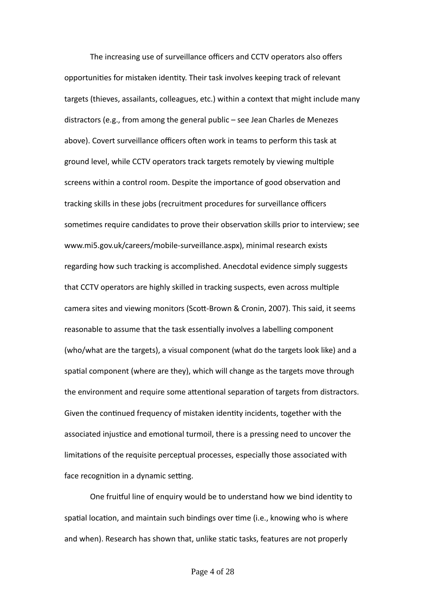The increasing use of surveillance officers and CCTV operators also offers opportunities for mistaken identity. Their task involves keeping track of relevant targets (thieves, assailants, colleagues, etc.) within a context that might include many distractors (e.g., from among the general public – see Jean Charles de Menezes above). Covert surveillance officers often work in teams to perform this task at ground level, while CCTV operators track targets remotely by viewing multiple screens within a control room. Despite the importance of good observation and tracking skills in these jobs (recruitment procedures for surveillance officers sometimes require candidates to prove their observation skills prior to interview; see www.mi5.gov.uk/careers/mobile-surveillance.aspx), minimal research exists regarding how such tracking is accomplished. Anecdotal evidence simply suggests that CCTV operators are highly skilled in tracking suspects, even across multiple camera sites and viewing monitors (Scott-Brown & Cronin, 2007). This said, it seems reasonable to assume that the task essentially involves a labelling component (who/what are the targets), a visual component (what do the targets look like) and a spatial component (where are they), which will change as the targets move through the environment and require some attentional separation of targets from distractors. Given the continued frequency of mistaken identity incidents, together with the associated injustice and emotional turmoil, there is a pressing need to uncover the limitations of the requisite perceptual processes, especially those associated with face recognition in a dynamic setting.

One fruitful line of enquiry would be to understand how we bind identity to spatial location, and maintain such bindings over time (i.e., knowing who is where and when). Research has shown that, unlike static tasks, features are not properly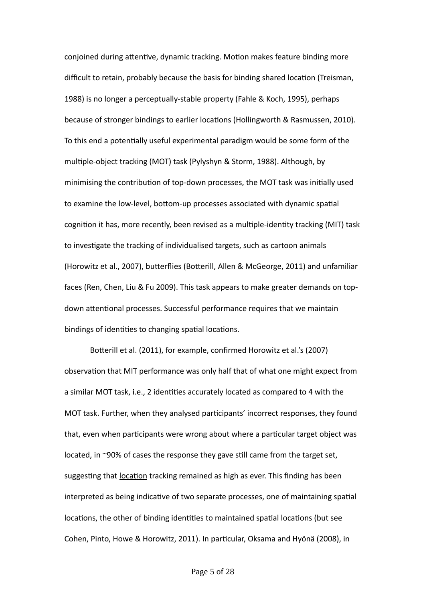conjoined during attentive, dynamic tracking. Motion makes feature binding more difficult to retain, probably because the basis for binding shared location (Treisman, 1988) is no longer a perceptually-stable property (Fahle & Koch, 1995), perhaps because of stronger bindings to earlier locations (Hollingworth & Rasmussen, 2010). To this end a potentially useful experimental paradigm would be some form of the multiple-object tracking (MOT) task (Pylyshyn & Storm, 1988). Although, by minimising the contribution of top-down processes, the MOT task was initially used to examine the low-level, bottom-up processes associated with dynamic spatial cognition it has, more recently, been revised as a multiple-identity tracking (MIT) task to investigate the tracking of individualised targets, such as cartoon animals (Horowitz et al., 2007), butterflies (Botterill, Allen & McGeorge, 2011) and unfamiliar faces (Ren, Chen, Liu & Fu 2009). This task appears to make greater demands on topdown attentional processes. Successful performance requires that we maintain bindings of identities to changing spatial locations.

Botterill et al. (2011), for example, confirmed Horowitz et al.'s (2007) observation that MIT performance was only half that of what one might expect from a similar MOT task, i.e., 2 identities accurately located as compared to 4 with the MOT task. Further, when they analysed participants' incorrect responses, they found that, even when participants were wrong about where a particular target object was located, in ~90% of cases the response they gave still came from the target set, suggesting that location tracking remained as high as ever. This finding has been interpreted as being indicative of two separate processes, one of maintaining spatial locations, the other of binding identities to maintained spatial locations (but see Cohen, Pinto, Howe & Horowitz, 2011). In particular, Oksama and Hyönä (2008), in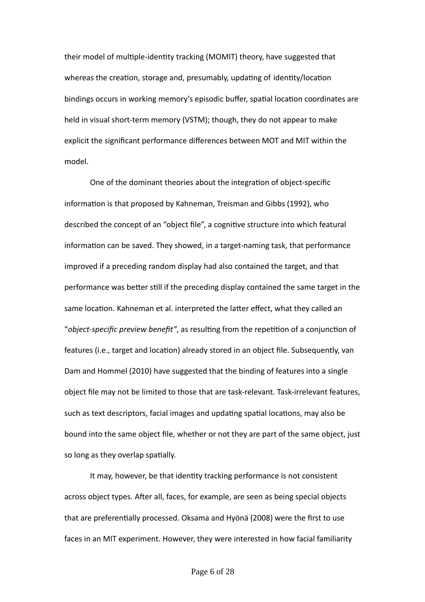their model of multiple-identity tracking (MOMIT) theory, have suggested that whereas the creation, storage and, presumably, updating of identity/location bindings occurs in working memory's episodic buffer, spatial location coordinates are held in visual short-term memory (VSTM); though, they do not appear to make explicit the significant performance differences between MOT and MIT within the model.

One of the dominant theories about the integration of object-specific information is that proposed by Kahneman, Treisman and Gibbs (1992), who described the concept of an "object file", a cognitive structure into which featural information can be saved. They showed, in a target-naming task, that performance improved if a preceding random display had also contained the target, and that performance was better still if the preceding display contained the same target in the same location. Kahneman et al. interpreted the latter effect, what they called an "*object-specific preview benefit"*, as resulting from the repetition of a conjunction of features (i.e., target and location) already stored in an object file. Subsequently, van Dam and Hommel (2010) have suggested that the binding of features into a single object file may not be limited to those that are task-relevant. Task-irrelevant features, such as text descriptors, facial images and updating spatial locations, may also be bound into the same object file, whether or not they are part of the same object, just so long as they overlap spatially.

It may, however, be that identity tracking performance is not consistent across object types. After all, faces, for example, are seen as being special objects that are preferentially processed. Oksama and Hyönä (2008) were the first to use faces in an MIT experiment. However, they were interested in how facial familiarity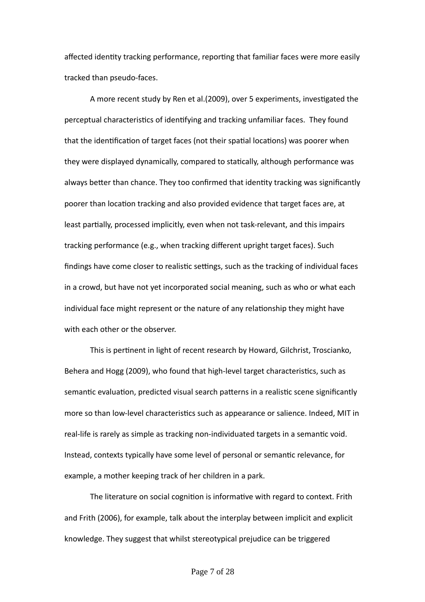affected identity tracking performance, reporting that familiar faces were more easily tracked than pseudo-faces.

A more recent study by Ren et al.(2009), over 5 experiments, investigated the perceptual characteristics of identifying and tracking unfamiliar faces. They found that the identification of target faces (not their spatial locations) was poorer when they were displayed dynamically, compared to statically, although performance was always better than chance. They too confirmed that identity tracking was significantly poorer than location tracking and also provided evidence that target faces are, at least partially, processed implicitly, even when not task-relevant, and this impairs tracking performance (e.g., when tracking different upright target faces). Such findings have come closer to realistic settings, such as the tracking of individual faces in a crowd, but have not yet incorporated social meaning, such as who or what each individual face might represent or the nature of any relationship they might have with each other or the observer.

This is pertinent in light of recent research by Howard, Gilchrist, Troscianko, Behera and Hogg (2009), who found that high-level target characteristics, such as semantic evaluation, predicted visual search patterns in a realistic scene significantly more so than low-level characteristics such as appearance or salience. Indeed, MIT in real-life is rarely as simple as tracking non-individuated targets in a semantic void. Instead, contexts typically have some level of personal or semantic relevance, for example, a mother keeping track of her children in a park.

The literature on social cognition is informative with regard to context. Frith and Frith (2006), for example, talk about the interplay between implicit and explicit knowledge. They suggest that whilst stereotypical prejudice can be triggered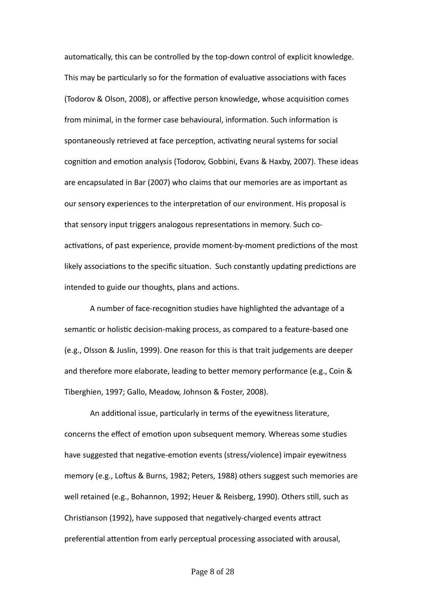automatically, this can be controlled by the top-down control of explicit knowledge. This may be particularly so for the formation of evaluative associations with faces (Todorov & Olson, 2008), or affective person knowledge, whose acquisition comes from minimal, in the former case behavioural, information. Such information is spontaneously retrieved at face perception, activating neural systems for social cognition and emotion analysis (Todorov, Gobbini, Evans & Haxby, 2007). These ideas are encapsulated in Bar (2007) who claims that our memories are as important as our sensory experiences to the interpretation of our environment. His proposal is that sensory input triggers analogous representations in memory. Such coactivations, of past experience, provide moment-by-moment predictions of the most likely associations to the specific situation. Such constantly updating predictions are intended to guide our thoughts, plans and actions.

A number of face-recognition studies have highlighted the advantage of a semantic or holistic decision-making process, as compared to a feature-based one (e.g., Olsson & Juslin, 1999). One reason for this is that trait judgements are deeper and therefore more elaborate, leading to better memory performance (e.g., Coin & Tiberghien, 1997; Gallo, Meadow, Johnson & Foster, 2008).

An additional issue, particularly in terms of the eyewitness literature, concerns the effect of emotion upon subsequent memory. Whereas some studies have suggested that negative-emotion events (stress/violence) impair eyewitness memory (e.g., Loftus & Burns, 1982; Peters, 1988) others suggest such memories are well retained (e.g., Bohannon, 1992; Heuer & Reisberg, 1990). Others still, such as Christianson (1992), have supposed that negatively-charged events attract preferential attention from early perceptual processing associated with arousal,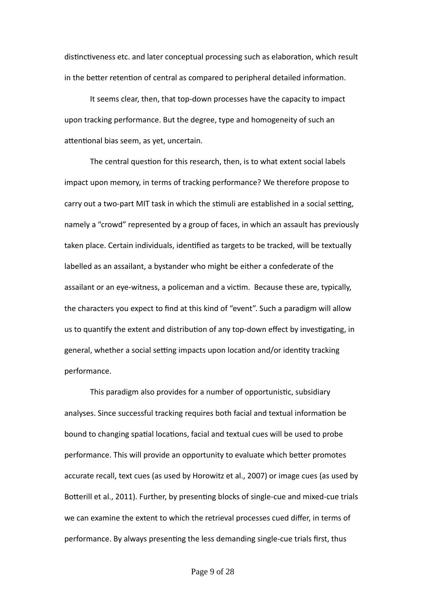distinctiveness etc. and later conceptual processing such as elaboration, which result in the better retention of central as compared to peripheral detailed information.

It seems clear, then, that top-down processes have the capacity to impact upon tracking performance. But the degree, type and homogeneity of such an attentional bias seem, as yet, uncertain.

The central question for this research, then, is to what extent social labels impact upon memory, in terms of tracking performance? We therefore propose to carry out a two-part MIT task in which the stimuli are established in a social setting, namely a "crowd" represented by a group of faces, in which an assault has previously taken place. Certain individuals, identified as targets to be tracked, will be textually labelled as an assailant, a bystander who might be either a confederate of the assailant or an eye-witness, a policeman and a victim. Because these are, typically, the characters you expect to find at this kind of "event". Such a paradigm will allow us to quantify the extent and distribution of any top-down effect by investigating, in general, whether a social setting impacts upon location and/or identity tracking performance.

This paradigm also provides for a number of opportunistic, subsidiary analyses. Since successful tracking requires both facial and textual information be bound to changing spatial locations, facial and textual cues will be used to probe performance. This will provide an opportunity to evaluate which better promotes accurate recall, text cues (as used by Horowitz et al., 2007) or image cues (as used by Botterill et al., 2011). Further, by presenting blocks of single-cue and mixed-cue trials we can examine the extent to which the retrieval processes cued differ, in terms of performance. By always presenting the less demanding single-cue trials first, thus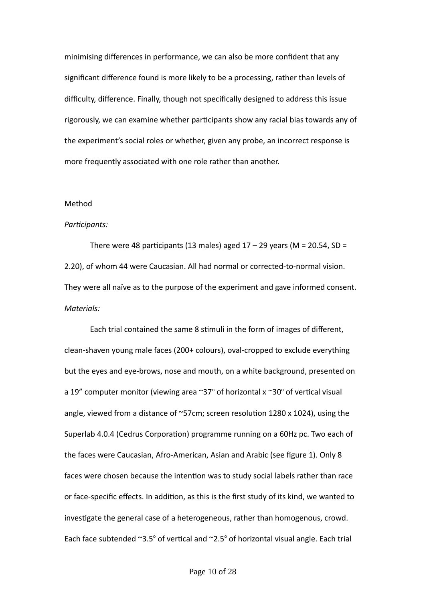minimising differences in performance, we can also be more confident that any significant difference found is more likely to be a processing, rather than levels of difficulty, difference. Finally, though not specifically designed to address this issue rigorously, we can examine whether participants show any racial bias towards any of the experiment's social roles or whether, given any probe, an incorrect response is more frequently associated with one role rather than another.

# Method

#### *Participants:*

There were 48 participants (13 males) aged  $17 - 29$  years (M = 20.54, SD = 2.20), of whom 44 were Caucasian. All had normal or corrected-to-normal vision. They were all naïve as to the purpose of the experiment and gave informed consent. *Materials:*

Each trial contained the same 8 stimuli in the form of images of different, clean-shaven young male faces (200+ colours), oval-cropped to exclude everything but the eyes and eye-brows, nose and mouth, on a white background, presented on a 19" computer monitor (viewing area  $\sim$ 37° of horizontal x  $\sim$ 30° of vertical visual angle, viewed from a distance of ~57cm; screen resolution 1280 x 1024), using the Superlab 4.0.4 (Cedrus Corporation) programme running on a 60Hz pc. Two each of the faces were Caucasian, Afro-American, Asian and Arabic (see figure 1). Only 8 faces were chosen because the intention was to study social labels rather than race or face-specific effects. In addition, as this is the first study of its kind, we wanted to investigate the general case of a heterogeneous, rather than homogenous, crowd. Each face subtended  $\sim 3.5^{\circ}$  of vertical and  $\sim 2.5^{\circ}$  of horizontal visual angle. Each trial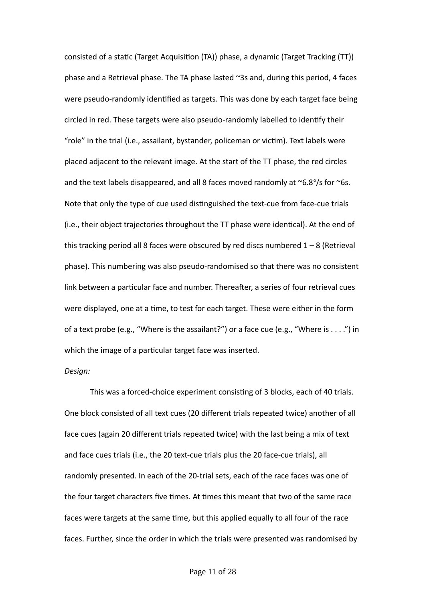consisted of a static (Target Acquisition (TA)) phase, a dynamic (Target Tracking (TT)) phase and a Retrieval phase. The TA phase lasted ~3s and, during this period, 4 faces were pseudo-randomly identified as targets. This was done by each target face being circled in red. These targets were also pseudo-randomly labelled to identify their "role" in the trial (i.e., assailant, bystander, policeman or victim). Text labels were placed adjacent to the relevant image. At the start of the TT phase, the red circles and the text labels disappeared, and all 8 faces moved randomly at  $\sim$ 6.8°/s for  $\sim$ 6s. Note that only the type of cue used distinguished the text-cue from face-cue trials (i.e., their object trajectories throughout the TT phase were identical). At the end of this tracking period all 8 faces were obscured by red discs numbered  $1 - 8$  (Retrieval phase). This numbering was also pseudo-randomised so that there was no consistent link between a particular face and number. Thereafter, a series of four retrieval cues were displayed, one at a time, to test for each target. These were either in the form of a text probe (e.g., "Where is the assailant?") or a face cue (e.g., "Where is . . . .") in which the image of a particular target face was inserted.

# *Design:*

This was a forced-choice experiment consisting of 3 blocks, each of 40 trials. One block consisted of all text cues (20 different trials repeated twice) another of all face cues (again 20 different trials repeated twice) with the last being a mix of text and face cues trials (i.e., the 20 text-cue trials plus the 20 face-cue trials), all randomly presented. In each of the 20-trial sets, each of the race faces was one of the four target characters five times. At times this meant that two of the same race faces were targets at the same time, but this applied equally to all four of the race faces. Further, since the order in which the trials were presented was randomised by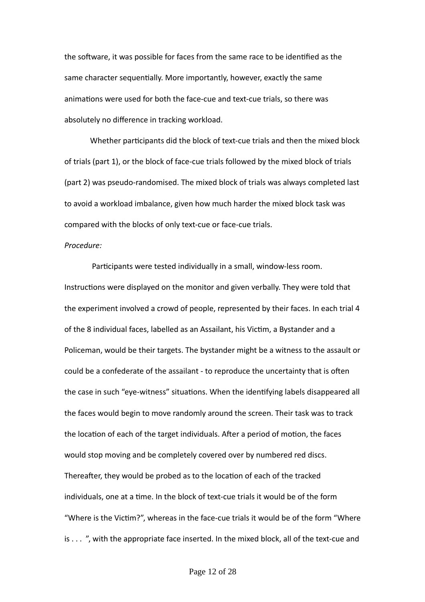the software, it was possible for faces from the same race to be identified as the same character sequentially. More importantly, however, exactly the same animations were used for both the face-cue and text-cue trials, so there was absolutely no difference in tracking workload.

Whether participants did the block of text-cue trials and then the mixed block of trials (part 1), or the block of face-cue trials followed by the mixed block of trials (part 2) was pseudo-randomised. The mixed block of trials was always completed last to avoid a workload imbalance, given how much harder the mixed block task was compared with the blocks of only text-cue or face-cue trials.

#### *Procedure:*

 Participants were tested individually in a small, window-less room. Instructions were displayed on the monitor and given verbally. They were told that the experiment involved a crowd of people, represented by their faces. In each trial 4 of the 8 individual faces, labelled as an Assailant, his Victim, a Bystander and a Policeman, would be their targets. The bystander might be a witness to the assault or could be a confederate of the assailant - to reproduce the uncertainty that is often the case in such "eye-witness" situations. When the identifying labels disappeared all the faces would begin to move randomly around the screen. Their task was to track the location of each of the target individuals. After a period of motion, the faces would stop moving and be completely covered over by numbered red discs. Thereafter, they would be probed as to the location of each of the tracked individuals, one at a time. In the block of text-cue trials it would be of the form "Where is the Victim?", whereas in the face-cue trials it would be of the form "Where is . . . ", with the appropriate face inserted. In the mixed block, all of the text-cue and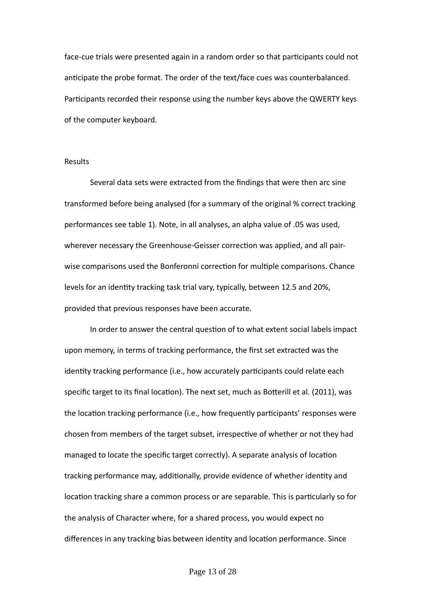face-cue trials were presented again in a random order so that participants could not anticipate the probe format. The order of the text/face cues was counterbalanced. Participants recorded their response using the number keys above the QWERTY keys of the computer keyboard.

# Results

Several data sets were extracted from the findings that were then arc sine transformed before being analysed (for a summary of the original % correct tracking performances see table 1). Note, in all analyses, an alpha value of .05 was used, wherever necessary the Greenhouse-Geisser correction was applied, and all pairwise comparisons used the Bonferonni correction for multiple comparisons. Chance levels for an identity tracking task trial vary, typically, between 12.5 and 20%, provided that previous responses have been accurate.

In order to answer the central question of to what extent social labels impact upon memory, in terms of tracking performance, the first set extracted was the identity tracking performance (i.e., how accurately participants could relate each specific target to its final location). The next set, much as Botterill et al. (2011), was the location tracking performance (i.e., how frequently participants' responses were chosen from members of the target subset, irrespective of whether or not they had managed to locate the specific target correctly). A separate analysis of location tracking performance may, additionally, provide evidence of whether identity and location tracking share a common process or are separable. This is particularly so for the analysis of Character where, for a shared process, you would expect no differences in any tracking bias between identity and location performance. Since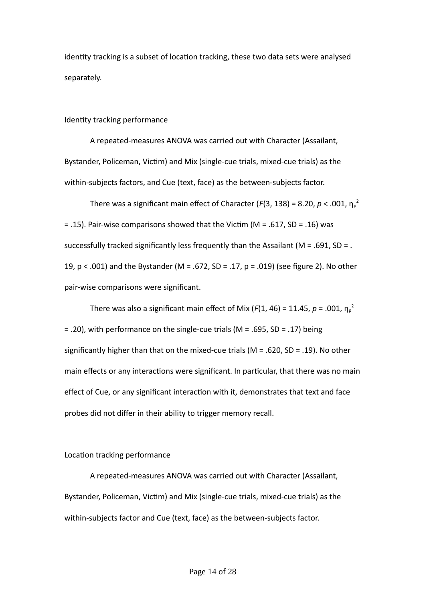identity tracking is a subset of location tracking, these two data sets were analysed separately.

#### Identity tracking performance

A repeated-measures ANOVA was carried out with Character (Assailant, Bystander, Policeman, Victim) and Mix (single-cue trials, mixed-cue trials) as the within-subjects factors, and Cue (text, face) as the between-subjects factor.

There was a significant main effect of Character (*F*(3, 138) = 8.20,  $p$  < .001,  $\eta_{\rho}^2$ = .15). Pair-wise comparisons showed that the Victim (M = .617, SD = .16) was successfully tracked significantly less frequently than the Assailant (M = .691, SD = . 19, p < .001) and the Bystander (M = .672, SD = .17, p = .019) (see figure 2). No other pair-wise comparisons were significant.

There was also a significant main effect of Mix ( $F(1, 46)$  = 11.45,  $p$  = .001,  $\eta_p^2$ = .20), with performance on the single-cue trials (M = .695, SD = .17) being significantly higher than that on the mixed-cue trials ( $M = .620$ ,  $SD = .19$ ). No other main effects or any interactions were significant. In particular, that there was no main effect of Cue, or any significant interaction with it, demonstrates that text and face probes did not differ in their ability to trigger memory recall.

# Location tracking performance

A repeated-measures ANOVA was carried out with Character (Assailant, Bystander, Policeman, Victim) and Mix (single-cue trials, mixed-cue trials) as the within-subjects factor and Cue (text, face) as the between-subjects factor.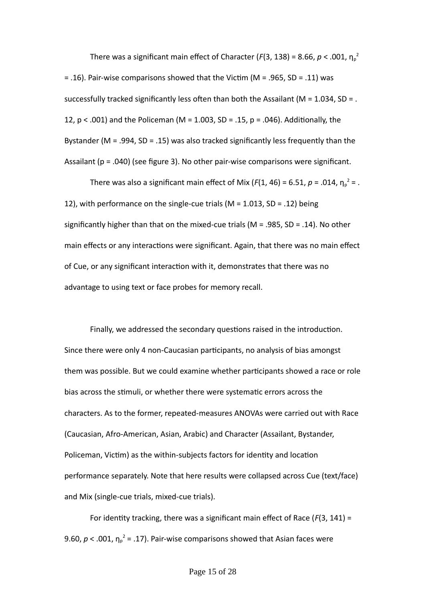There was a significant main effect of Character (*F*(3, 138) = 8.66,  $p$  < .001,  $\eta_{\rho}^{-2}$ = .16). Pair-wise comparisons showed that the Victim (M = .965, SD = .11) was successfully tracked significantly less often than both the Assailant ( $M = 1.034$ , SD = . 12,  $p < .001$ ) and the Policeman (M = 1.003, SD = .15,  $p = .046$ ). Additionally, the Bystander (M = .994, SD = .15) was also tracked significantly less frequently than the Assailant ( $p = .040$ ) (see figure 3). No other pair-wise comparisons were significant.

There was also a significant main effect of Mix ( $F(1, 46)$  = 6.51,  $p$  = .014,  $\eta_p^2$  = . 12), with performance on the single-cue trials (M = 1.013, SD = .12) being significantly higher than that on the mixed-cue trials ( $M = 0.985$ ,  $SD = 0.14$ ). No other main effects or any interactions were significant. Again, that there was no main effect of Cue, or any significant interaction with it, demonstrates that there was no advantage to using text or face probes for memory recall.

Finally, we addressed the secondary questions raised in the introduction. Since there were only 4 non-Caucasian participants, no analysis of bias amongst them was possible. But we could examine whether participants showed a race or role bias across the stimuli, or whether there were systematic errors across the characters. As to the former, repeated-measures ANOVAs were carried out with Race (Caucasian, Afro-American, Asian, Arabic) and Character (Assailant, Bystander, Policeman, Victim) as the within-subjects factors for identity and location performance separately. Note that here results were collapsed across Cue (text/face) and Mix (single-cue trials, mixed-cue trials).

For identity tracking, there was a significant main effect of Race (*F*(3, 141) = 9.60,  $p < .001$ ,  $\eta_p^2 = .17$ ). Pair-wise comparisons showed that Asian faces were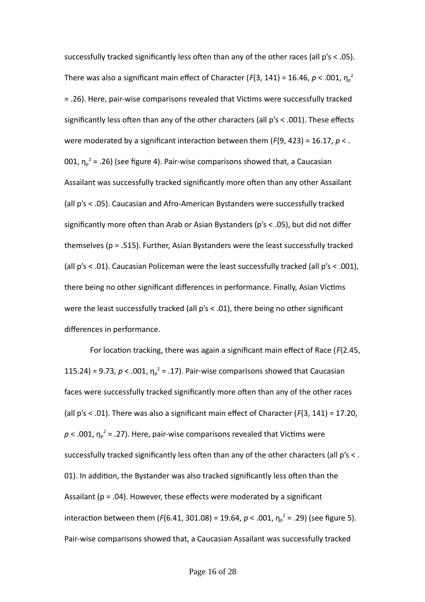successfully tracked significantly less often than any of the other races (all p's < .05). There was also a significant main effect of Character ( $F(3, 141)$  = 16.46,  $p$  < .001,  $\eta_{p}^{2}$ = .26). Here, pair-wise comparisons revealed that Victims were successfully tracked significantly less often than any of the other characters (all p's < .001). These effects were moderated by a significant interaction between them (*F*(9, 423) = 16.17, *p* < . 001,  $\eta_{p}^{2}$  = .26) (see figure 4). Pair-wise comparisons showed that, a Caucasian Assailant was successfully tracked significantly more often than any other Assailant (all p's < .05). Caucasian and Afro-American Bystanders were successfully tracked significantly more often than Arab or Asian Bystanders (p's < .05), but did not differ themselves (p = .515). Further, Asian Bystanders were the least successfully tracked (all p's < .01). Caucasian Policeman were the least successfully tracked (all p's < .001), there being no other significant differences in performance. Finally, Asian Victims were the least successfully tracked (all p's < .01), there being no other significant differences in performance.

For location tracking, there was again a significant main effect of Race (*F*(2.45, 115.24) = 9.73,  $p < .001$ ,  $\eta_p^2 = .17$ ). Pair-wise comparisons showed that Caucasian faces were successfully tracked significantly more often than any of the other races (all p's < .01). There was also a significant main effect of Character (*F*(3, 141) = 17.20,  $p < .001$ ,  $\eta_p^2 = .27$ ). Here, pair-wise comparisons revealed that Victims were successfully tracked significantly less often than any of the other characters (all  $p's <$ . 01). In addition, the Bystander was also tracked significantly less often than the Assailant ( $p = .04$ ). However, these effects were moderated by a significant interaction between them ( $F(6.41, 301.08) = 19.64$ ,  $p < .001$ ,  $\eta_p^2 = .29$ ) (see figure 5). Pair-wise comparisons showed that, a Caucasian Assailant was successfully tracked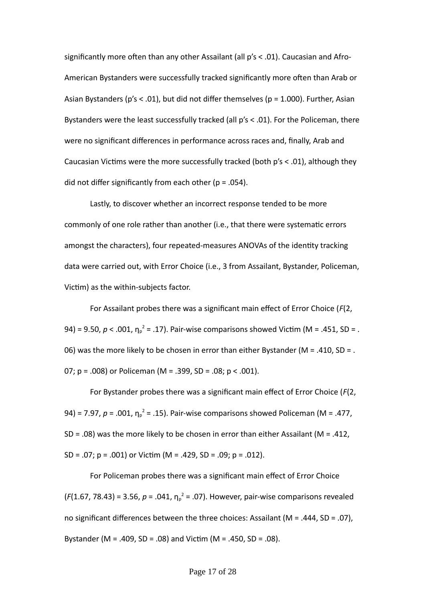significantly more often than any other Assailant (all p's < .01). Caucasian and Afro-American Bystanders were successfully tracked significantly more often than Arab or Asian Bystanders ( $p's < .01$ ), but did not differ themselves ( $p = 1.000$ ). Further, Asian Bystanders were the least successfully tracked (all p's < .01). For the Policeman, there were no significant differences in performance across races and, finally, Arab and Caucasian Victims were the more successfully tracked (both p's < .01), although they did not differ significantly from each other ( $p = .054$ ).

Lastly, to discover whether an incorrect response tended to be more commonly of one role rather than another (i.e., that there were systematic errors amongst the characters), four repeated-measures ANOVAs of the identity tracking data were carried out, with Error Choice (i.e., 3 from Assailant, Bystander, Policeman, Victim) as the within-subjects factor.

For Assailant probes there was a significant main effect of Error Choice (*F*(2, 94) = 9.50,  $p < .001$ ,  $η<sub>p</sub><sup>2</sup> = .17$ ). Pair-wise comparisons showed Victim (M = .451, SD = . 06) was the more likely to be chosen in error than either Bystander ( $M = .410$ , SD = . 07; p = .008) or Policeman (M = .399, SD = .08; p < .001).

For Bystander probes there was a significant main effect of Error Choice (*F*(2, 94) = 7.97,  $p = .001$ ,  $\eta_p^2 = .15$ ). Pair-wise comparisons showed Policeman (M = .477, SD = .08) was the more likely to be chosen in error than either Assailant ( $M = .412$ , SD = .07; p = .001) or Victim (M = .429, SD = .09; p = .012).

For Policeman probes there was a significant main effect of Error Choice  $(F(1.67, 78.43) = 3.56, p = .041, \eta_p^2 = .07)$ . However, pair-wise comparisons revealed no significant differences between the three choices: Assailant (M = .444, SD = .07), Bystander (M = .409, SD = .08) and Victim (M = .450, SD = .08).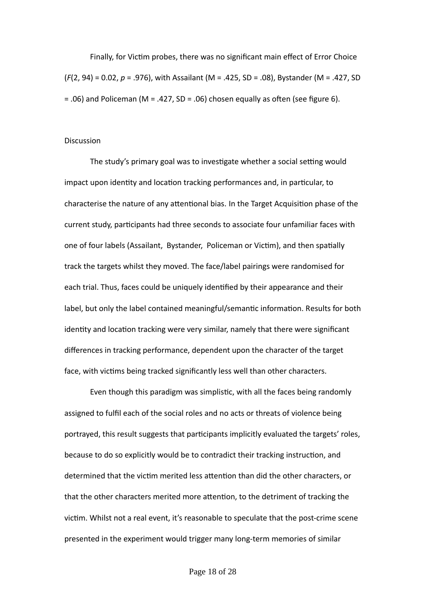Finally, for Victim probes, there was no significant main effect of Error Choice (*F*(2, 94) = 0.02, *p* = .976), with Assailant (M = .425, SD = .08), Bystander (M = .427, SD  $= .06$ ) and Policeman (M = .427, SD = .06) chosen equally as often (see figure 6).

## **Discussion**

The study's primary goal was to investigate whether a social setting would impact upon identity and location tracking performances and, in particular, to characterise the nature of any attentional bias. In the Target Acquisition phase of the current study, participants had three seconds to associate four unfamiliar faces with one of four labels (Assailant, Bystander, Policeman or Victim), and then spatially track the targets whilst they moved. The face/label pairings were randomised for each trial. Thus, faces could be uniquely identified by their appearance and their label, but only the label contained meaningful/semantic information. Results for both identity and location tracking were very similar, namely that there were significant differences in tracking performance, dependent upon the character of the target face, with victims being tracked significantly less well than other characters.

Even though this paradigm was simplistic, with all the faces being randomly assigned to fulfil each of the social roles and no acts or threats of violence being portrayed, this result suggests that participants implicitly evaluated the targets' roles, because to do so explicitly would be to contradict their tracking instruction, and determined that the victim merited less attention than did the other characters, or that the other characters merited more attention, to the detriment of tracking the victim. Whilst not a real event, it's reasonable to speculate that the post-crime scene presented in the experiment would trigger many long-term memories of similar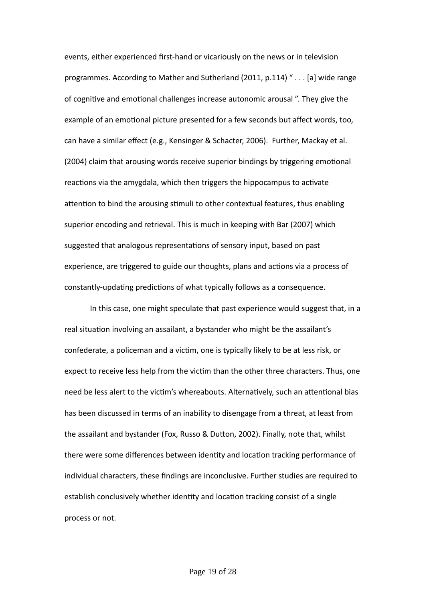events, either experienced first-hand or vicariously on the news or in television programmes. According to Mather and Sutherland (2011, p.114) " . . . [a] wide range of cognitive and emotional challenges increase autonomic arousal ". They give the example of an emotional picture presented for a few seconds but affect words, too, can have a similar effect (e.g., Kensinger & Schacter, 2006). Further, Mackay et al. (2004) claim that arousing words receive superior bindings by triggering emotional reactions via the amygdala, which then triggers the hippocampus to activate attention to bind the arousing stimuli to other contextual features, thus enabling superior encoding and retrieval. This is much in keeping with Bar (2007) which suggested that analogous representations of sensory input, based on past experience, are triggered to guide our thoughts, plans and actions via a process of constantly-updating predictions of what typically follows as a consequence.

In this case, one might speculate that past experience would suggest that, in a real situation involving an assailant, a bystander who might be the assailant's confederate, a policeman and a victim, one is typically likely to be at less risk, or expect to receive less help from the victim than the other three characters. Thus, one need be less alert to the victim's whereabouts. Alternatively, such an attentional bias has been discussed in terms of an inability to disengage from a threat, at least from the assailant and bystander (Fox, Russo & Dutton, 2002). Finally, note that, whilst there were some differences between identity and location tracking performance of individual characters, these findings are inconclusive. Further studies are required to establish conclusively whether identity and location tracking consist of a single process or not.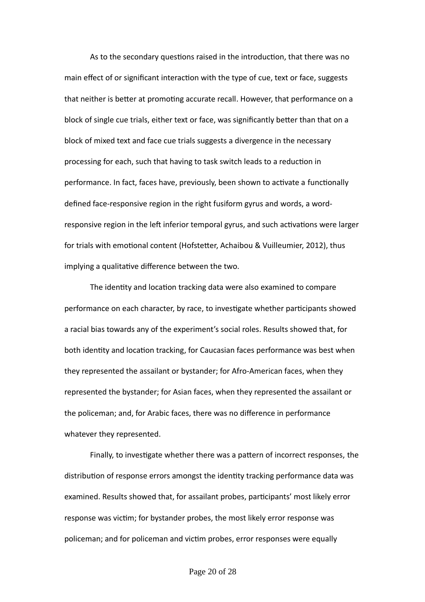As to the secondary questions raised in the introduction, that there was no main effect of or significant interaction with the type of cue, text or face, suggests that neither is better at promoting accurate recall. However, that performance on a block of single cue trials, either text or face, was significantly better than that on a block of mixed text and face cue trials suggests a divergence in the necessary processing for each, such that having to task switch leads to a reduction in performance. In fact, faces have, previously, been shown to activate a functionally defined face-responsive region in the right fusiform gyrus and words, a wordresponsive region in the left inferior temporal gyrus, and such activations were larger for trials with emotional content (Hofstetter, Achaibou & Vuilleumier, 2012), thus implying a qualitative difference between the two.

The identity and location tracking data were also examined to compare performance on each character, by race, to investigate whether participants showed a racial bias towards any of the experiment's social roles. Results showed that, for both identity and location tracking, for Caucasian faces performance was best when they represented the assailant or bystander; for Afro-American faces, when they represented the bystander; for Asian faces, when they represented the assailant or the policeman; and, for Arabic faces, there was no difference in performance whatever they represented.

Finally, to investigate whether there was a pattern of incorrect responses, the distribution of response errors amongst the identity tracking performance data was examined. Results showed that, for assailant probes, participants' most likely error response was victim; for bystander probes, the most likely error response was policeman; and for policeman and victim probes, error responses were equally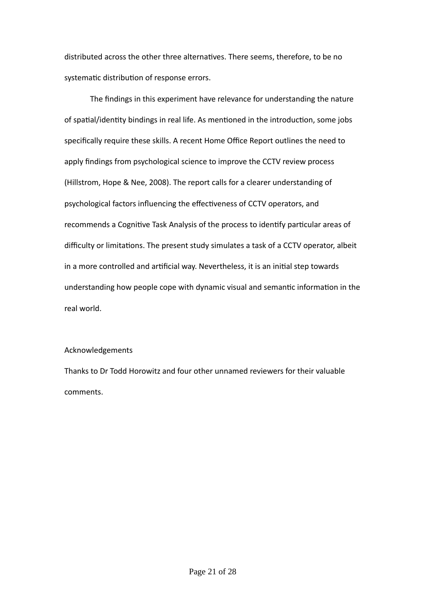distributed across the other three alternatives. There seems, therefore, to be no systematic distribution of response errors.

The findings in this experiment have relevance for understanding the nature of spatial/identity bindings in real life. As mentioned in the introduction, some jobs specifically require these skills. A recent Home Office Report outlines the need to apply findings from psychological science to improve the CCTV review process (Hillstrom, Hope & Nee, 2008). The report calls for a clearer understanding of psychological factors influencing the effectiveness of CCTV operators, and recommends a Cognitive Task Analysis of the process to identify particular areas of difficulty or limitations. The present study simulates a task of a CCTV operator, albeit in a more controlled and artificial way. Nevertheless, it is an initial step towards understanding how people cope with dynamic visual and semantic information in the real world.

# Acknowledgements

Thanks to Dr Todd Horowitz and four other unnamed reviewers for their valuable comments.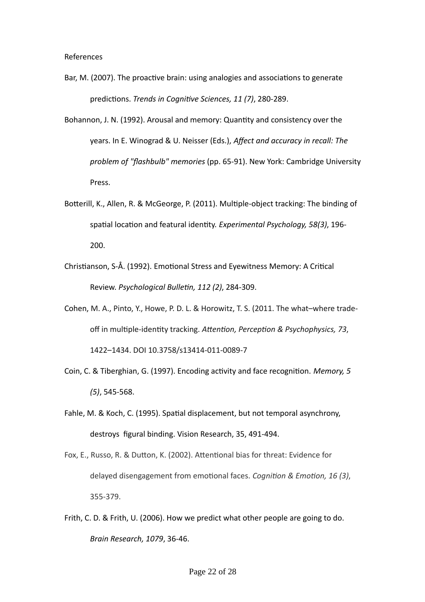- Bar, M. (2007). The proactive brain: using analogies and associations to generate predictions. *Trends in Cognitive Sciences, 11 (7)*, 280-289.
- Bohannon, J. N. (1992). Arousal and memory: Quantity and consistency over the years. In E. Winograd & U. Neisser (Eds.), *Affect and accuracy in recall: The problem of "flashbulb" memories* (pp. 65-91). New York: Cambridge University Press.
- Botterill, K., Allen, R. & McGeorge, P. (2011). Multiple-object tracking: The binding of spatial location and featural identity. *Experimental Psychology, 58(3)*, 196- 200.
- Christianson, S-Å. (1992). Emotional Stress and Eyewitness Memory: A Critical Review. *Psychological Bulletin, 112 (2)*, 284-309.
- Cohen, M. A., Pinto, Y., Howe, P. D. L. & Horowitz, T. S. (2011. The what–where tradeoff in multiple-identity tracking. *Attention, Perception & Psychophysics, 73*, 1422–1434. DOI 10.3758/s13414-011-0089-7
- Coin, C. & Tiberghian, G. (1997). Encoding activity and face recognition. *Memory, 5 (5)*, 545-568.
- Fahle, M. & Koch, C. (1995). Spatial displacement, but not temporal asynchrony, destroys figural binding. Vision Research, 35, 491-494.
- Fox, E., Russo, R. & Dutton, K. (2002). Attentional bias for threat: Evidence for delayed disengagement from emotional faces. *Cognition & Emotion, 16 (3)*, 355-379.
- Frith, C. D. & Frith, U. (2006). How we predict what other people are going to do. *Brain Research, 1079*, 36-46.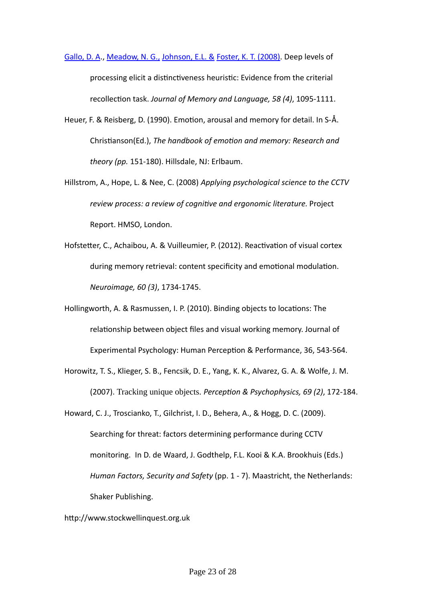[Gallo, D. A.](http://apps.webofknowledge.com/DaisyOneClickSearch.do?product=WOS&search_mode=DaisyOneClickSearch&colName=WOS&SID=W1FJg48fFKBPKeA4e1C&author_name=Gallo,%20DA&dais_id=5437397), [Meadow, N. G.,](http://apps.webofknowledge.com/OneClickSearch.do?product=WOS&search_mode=OneClickSearch&colName=WOS&SID=W1FJg48fFKBPKeA4e1C&field=AU&value=Meadow,%20NG) [Johnson, E.L. &](http://apps.webofknowledge.com/OneClickSearch.do?product=WOS&search_mode=OneClickSearch&colName=WOS&SID=W1FJg48fFKBPKeA4e1C&field=AU&value=Johnson,%20EL) [Foster, K. T. \(2008\).](http://apps.webofknowledge.com/OneClickSearch.do?product=WOS&search_mode=OneClickSearch&colName=WOS&SID=W1FJg48fFKBPKeA4e1C&field=AU&value=Foster,%20KT) Deep levels of processing elicit a distinctiveness heuristic: Evidence from the criterial recollection task. *Journal of Memory and Language, 58 (4)*, 1095-1111.

- Heuer, F. & Reisberg, D. (1990). Emotion, arousal and memory for detail. In S-Å. Christianson(Ed.), *The handbook of emotion and memory: Research and theory (pp.* 151-180). Hillsdale, NJ: Erlbaum.
- Hillstrom, A., Hope, L. & Nee, C. (2008) *Applying psychological science to the CCTV review process: a review of cognitive and ergonomic literature.* Project Report. HMSO, London.
- Hofstetter, C., Achaibou, A. & Vuilleumier, P. (2012). Reactivation of visual cortex during memory retrieval: content specificity and emotional modulation. *Neuroimage, 60 (3)*, 1734-1745.
- Hollingworth, A. & Rasmussen, I. P. (2010). Binding objects to locations: The relationship between object files and visual working memory. Journal of Experimental Psychology: Human Perception & Performance, 36, 543-564.
- Horowitz, T. S., Klieger, S. B., Fencsik, D. E., Yang, K. K., Alvarez, G. A. & Wolfe, J. M. (2007). Tracking unique objects. *Perception & Psychophysics, 69 (2)*, 172-184.
- Howard, C. J., Troscianko, T., Gilchrist, I. D., Behera, A., & Hogg, D. C. (2009). Searching for threat: factors determining performance during CCTV monitoring. In D. de Waard, J. Godthelp, F.L. Kooi & K.A. Brookhuis (Eds.) *Human Factors, Security and Safety* (pp. 1 - 7). Maastricht, the Netherlands: Shaker Publishing.
- http://www.stockwellinquest.org.uk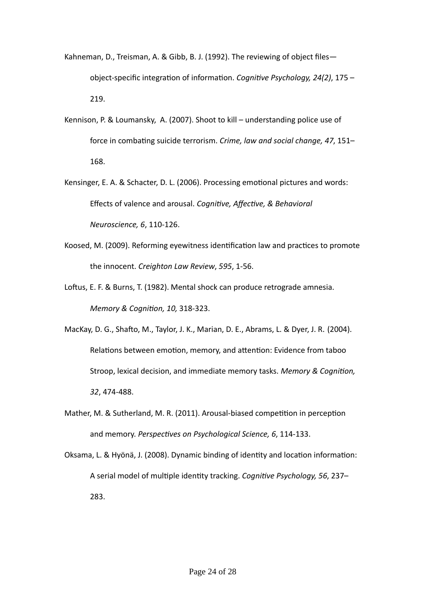- Kahneman, D., Treisman, A. & Gibb, B. J. (1992). The reviewing of object files object-specific integration of information. *Cognitive Psychology, 24(2)*, 175 – 219.
- Kennison, P. & Loumansky, A. (2007). Shoot to kill understanding police use of force in combating suicide terrorism. *Crime, law and social change, 47*, 151– 168.
- Kensinger, E. A. & Schacter, D. L. (2006). Processing emotional pictures and words: Effects of valence and arousal. *Cognitive, Affective, & Behavioral Neuroscience, 6*, 110-126.
- Koosed, M. (2009). Reforming eyewitness identification law and practices to promote the innocent. *Creighton Law Review*, *595*, 1-56.
- Loftus, E. F. & Burns, T. (1982). Mental shock can produce retrograde amnesia. *Memory & Cognition, 10,* 318-323.
- MacKay, D. G., Shafto, M., Taylor, J. K., Marian, D. E., Abrams, L. & Dyer, J. R. (2004). Relations between emotion, memory, and attention: Evidence from taboo Stroop, lexical decision, and immediate memory tasks. *Memory & Cognition, 32*, 474-488.
- Mather, M. & Sutherland, M. R. (2011). Arousal-biased competition in perception and memory. *Perspectives on Psychological Science, 6*, 114-133.
- Oksama, L. & Hyönä, J. (2008). Dynamic binding of identity and location information: A serial model of multiple identity tracking. *Cognitive Psychology, 56*, 237– 283.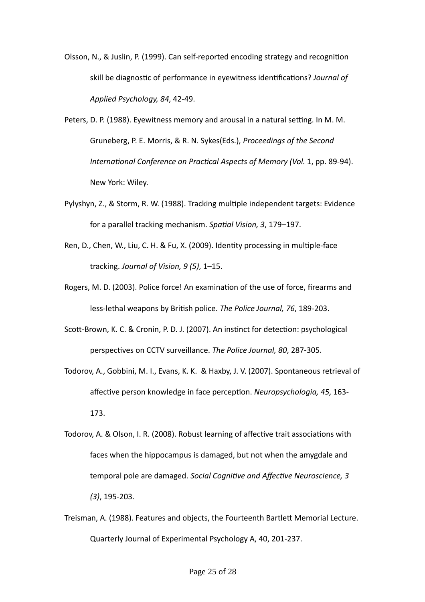- Olsson, N., & Juslin, P. (1999). Can self-reported encoding strategy and recognition skill be diagnostic of performance in eyewitness identifications? *Journal of Applied Psychology, 84*, 42-49.
- Peters, D. P. (1988). Eyewitness memory and arousal in a natural setting. In M. M. Gruneberg, P. E. Morris, & R. N. Sykes(Eds.), *Proceedings of the Second International Conference on Practical Aspects of Memory (Vol.* 1, pp. 89-94). New York: Wiley.
- Pylyshyn, Z., & Storm, R. W. (1988). Tracking multiple independent targets: Evidence for a parallel tracking mechanism. *Spatial Vision, 3*, 179–197.
- Ren, D., Chen, W., Liu, C. H. & Fu, X. (2009). Identity processing in multiple-face tracking. *Journal of Vision, 9 (5)*, 1–15.
- Rogers, M. D. (2003). Police force! An examination of the use of force, firearms and less-lethal weapons by British police. *The Police Journal, 76*, 189-203.
- Scott-Brown, K. C. & Cronin, P. D. J. (2007). An instinct for detection: psychological perspectives on CCTV surveillance. *The Police Journal, 80*, 287-305.
- Todorov, A., Gobbini, M. I., Evans, K. K. & Haxby, J. V. (2007). Spontaneous retrieval of affective person knowledge in face perception. *Neuropsychologia, 45*, 163- 173.
- Todorov, A. & Olson, I. R. (2008). Robust learning of affective trait associations with faces when the hippocampus is damaged, but not when the amygdale and temporal pole are damaged. *Social Cognitive and Affective Neuroscience, 3 (3)*, 195-203.
- Treisman, A. (1988). Features and objects, the Fourteenth Bartlett Memorial Lecture. Quarterly Journal of Experimental Psychology A, 40, 201-237.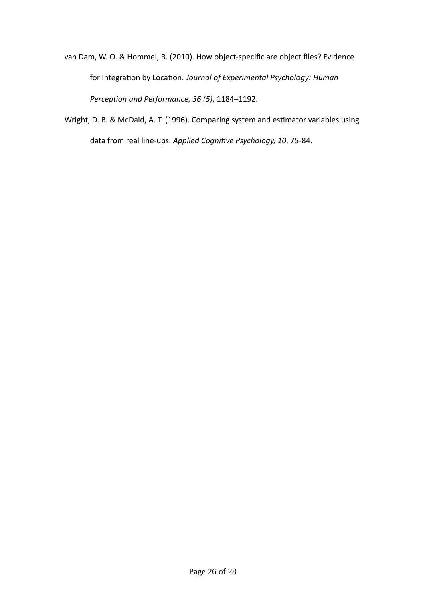van Dam, W. O. & Hommel, B. (2010). How object-specific are object files? Evidence for Integration by Location. *Journal of Experimental Psychology: Human Perception and Performance, 36 (5)*, 1184–1192.

Wright, D. B. & McDaid, A. T. (1996). Comparing system and estimator variables using data from real line-ups. *Applied Cognitive Psychology, 10*, 75-84.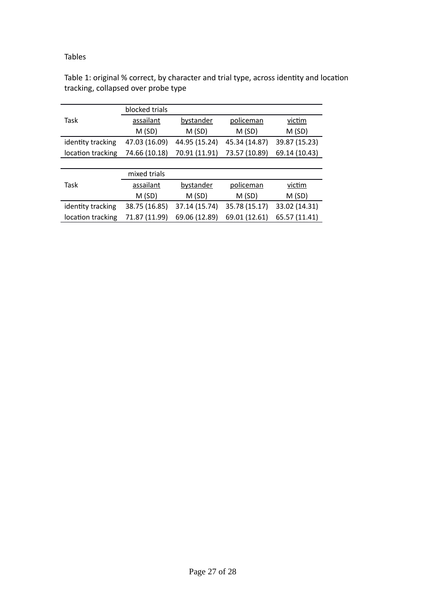# Tables

Table 1: original % correct, by character and trial type, across identity and location tracking, collapsed over probe type

|                   | blocked trials |               |               |               |
|-------------------|----------------|---------------|---------------|---------------|
| Task              | assailant      | bystander     | policeman     | victim        |
|                   | M(SD)          | M(SD)         | M(SD)         | M(SD)         |
| identity tracking | 47.03 (16.09)  | 44.95 (15.24) | 45.34 (14.87) | 39.87 (15.23) |
| location tracking | 74.66 (10.18)  | 70.91 (11.91) | 73.57 (10.89) | 69.14 (10.43) |
|                   |                |               |               |               |
|                   | mixed trials   |               |               |               |
| Task              | assailant      | bystander     | policeman     | victim        |
|                   | M(SD)          | M(SD)         | M(SD)         | M(SD)         |
| identity tracking | 38.75 (16.85)  | 37.14 (15.74) | 35.78 (15.17) | 33.02 (14.31) |
| location tracking | 71.87 (11.99)  | 69.06 (12.89) | 69.01 (12.61) | 65.57 (11.41) |